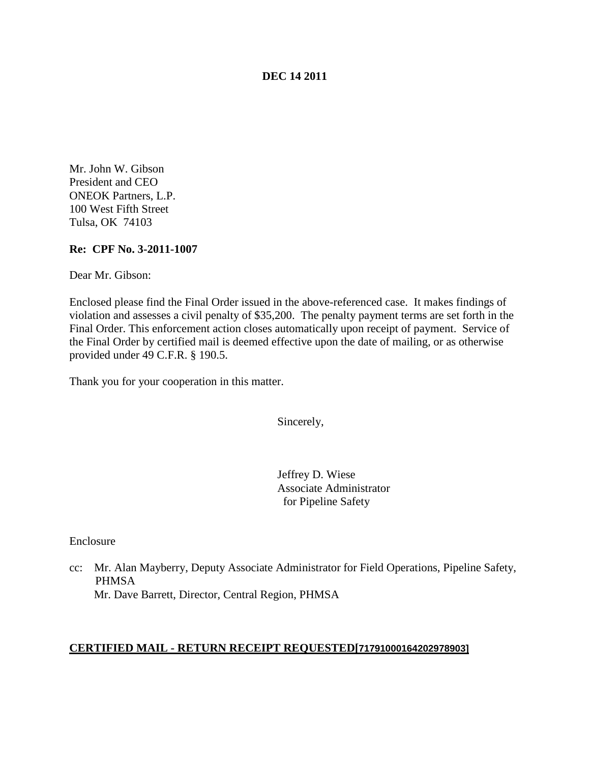### **DEC 14 2011**

Mr. John W. Gibson President and CEO ONEOK Partners, L.P. 100 West Fifth Street Tulsa, OK 74103

#### **Re: CPF No. 3-2011-1007**

Dear Mr. Gibson:

Enclosed please find the Final Order issued in the above-referenced case. It makes findings of violation and assesses a civil penalty of \$35,200. The penalty payment terms are set forth in the Final Order. This enforcement action closes automatically upon receipt of payment. Service of the Final Order by certified mail is deemed effective upon the date of mailing, or as otherwise provided under 49 C.F.R. § 190.5.

Thank you for your cooperation in this matter.

Sincerely,

Jeffrey D. Wiese Associate Administrator for Pipeline Safety

Enclosure

cc: Mr. Alan Mayberry, Deputy Associate Administrator for Field Operations, Pipeline Safety, PHMSA Mr. Dave Barrett, Director, Central Region, PHMSA

### **CERTIFIED MAIL - RETURN RECEIPT REQUESTED[71791000164202978903]**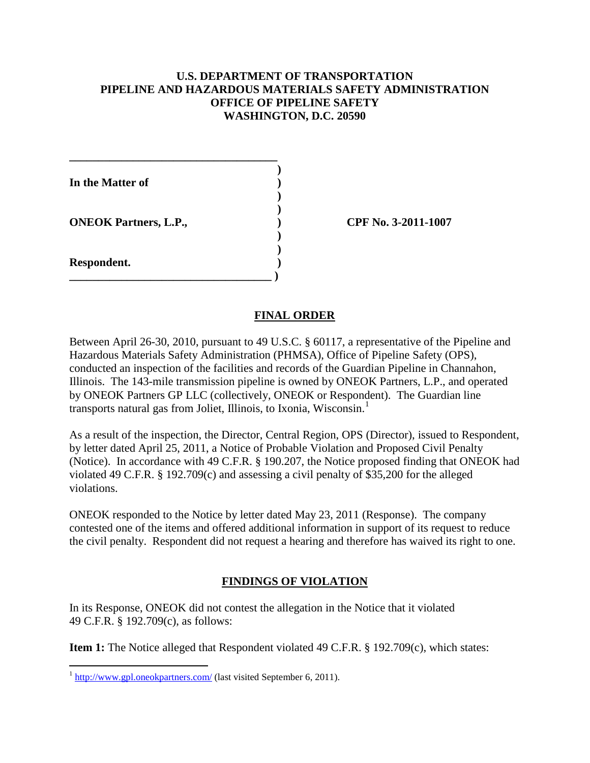## **U.S. DEPARTMENT OF TRANSPORTATION PIPELINE AND HAZARDOUS MATERIALS SAFETY ADMINISTRATION OFFICE OF PIPELINE SAFETY WASHINGTON, D.C. 20590**

| In the Matter of             |  |
|------------------------------|--|
| <b>ONEOK Partners, L.P.,</b> |  |
| Respondent.                  |  |

**\_\_\_\_\_\_\_\_\_\_\_\_\_\_\_\_\_\_\_\_\_\_\_\_\_\_\_\_\_\_\_\_\_\_\_\_**

**ONEOK Partners, L.P., ) CPF No. 3-2011-1007**

## **FINAL ORDER**

Between April 26-30, 2010, pursuant to 49 U.S.C. § 60117, a representative of the Pipeline and Hazardous Materials Safety Administration (PHMSA), Office of Pipeline Safety (OPS), conducted an inspection of the facilities and records of the Guardian Pipeline in Channahon, Illinois. The 143-mile transmission pipeline is owned by ONEOK Partners, L.P., and operated by ONEOK Partners GP LLC (collectively, ONEOK or Respondent). The Guardian line transports natural gas from Joliet, Illinois, to Ixonia, Wisconsin. [1](#page-1-0)

As a result of the inspection, the Director, Central Region, OPS (Director), issued to Respondent, by letter dated April 25, 2011, a Notice of Probable Violation and Proposed Civil Penalty (Notice). In accordance with 49 C.F.R. § 190.207, the Notice proposed finding that ONEOK had violated 49 C.F.R. § 192.709(c) and assessing a civil penalty of \$35,200 for the alleged violations.

ONEOK responded to the Notice by letter dated May 23, 2011 (Response). The company contested one of the items and offered additional information in support of its request to reduce the civil penalty. Respondent did not request a hearing and therefore has waived its right to one.

# **FINDINGS OF VIOLATION**

In its Response, ONEOK did not contest the allegation in the Notice that it violated 49 C.F.R. § 192.709(c), as follows:

**Item 1:** The Notice alleged that Respondent violated 49 C.F.R. § 192.709(c), which states:

<span id="page-1-0"></span><sup>&</sup>lt;sup>1</sup> <http://www.gpl.oneokpartners.com/> (last visited September 6, 2011).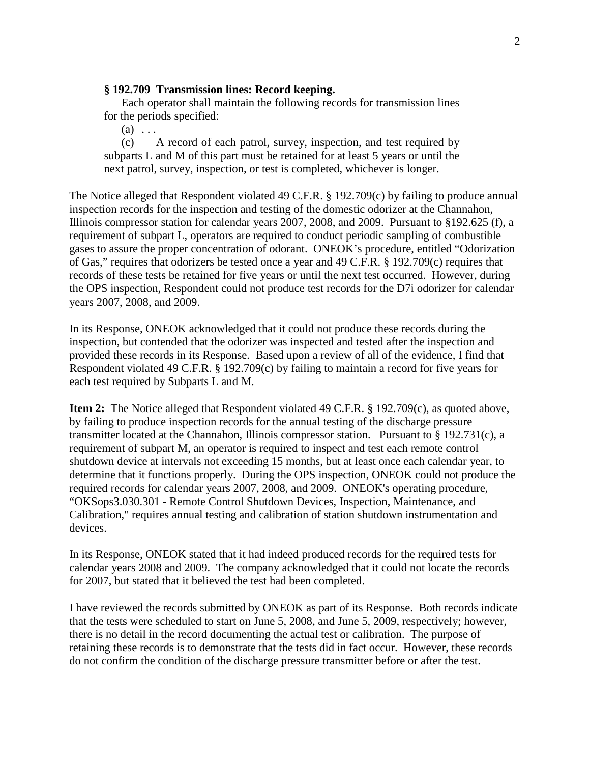### **§ 192.709 Transmission lines: Record keeping.**

Each operator shall maintain the following records for transmission lines for the periods specified:

 $(a)$ ...

(c) A record of each patrol, survey, inspection, and test required by subparts L and M of this part must be retained for at least 5 years or until the next patrol, survey, inspection, or test is completed, whichever is longer.

The Notice alleged that Respondent violated 49 C.F.R. § 192.709(c) by failing to produce annual inspection records for the inspection and testing of the domestic odorizer at the Channahon, Illinois compressor station for calendar years 2007, 2008, and 2009. Pursuant to §192.625 (f), a requirement of subpart L, operators are required to conduct periodic sampling of combustible gases to assure the proper concentration of odorant. ONEOK's procedure, entitled "Odorization of Gas," requires that odorizers be tested once a year and 49 C.F.R. § 192.709(c) requires that records of these tests be retained for five years or until the next test occurred. However, during the OPS inspection, Respondent could not produce test records for the D7i odorizer for calendar years 2007, 2008, and 2009.

In its Response, ONEOK acknowledged that it could not produce these records during the inspection, but contended that the odorizer was inspected and tested after the inspection and provided these records in its Response. Based upon a review of all of the evidence, I find that Respondent violated 49 C.F.R. § 192.709(c) by failing to maintain a record for five years for each test required by Subparts L and M.

**Item 2:** The Notice alleged that Respondent violated 49 C.F.R. § 192.709(c), as quoted above, by failing to produce inspection records for the annual testing of the discharge pressure transmitter located at the Channahon, Illinois compressor station. Pursuant to § 192.731(c), a requirement of subpart M, an operator is required to inspect and test each remote control shutdown device at intervals not exceeding 15 months, but at least once each calendar year, to determine that it functions properly. During the OPS inspection, ONEOK could not produce the required records for calendar years 2007, 2008, and 2009. ONEOK's operating procedure, "OKSops3.030.301 - Remote Control Shutdown Devices, Inspection, Maintenance, and Calibration," requires annual testing and calibration of station shutdown instrumentation and devices.

In its Response, ONEOK stated that it had indeed produced records for the required tests for calendar years 2008 and 2009. The company acknowledged that it could not locate the records for 2007, but stated that it believed the test had been completed.

I have reviewed the records submitted by ONEOK as part of its Response. Both records indicate that the tests were scheduled to start on June 5, 2008, and June 5, 2009, respectively; however, there is no detail in the record documenting the actual test or calibration. The purpose of retaining these records is to demonstrate that the tests did in fact occur. However, these records do not confirm the condition of the discharge pressure transmitter before or after the test.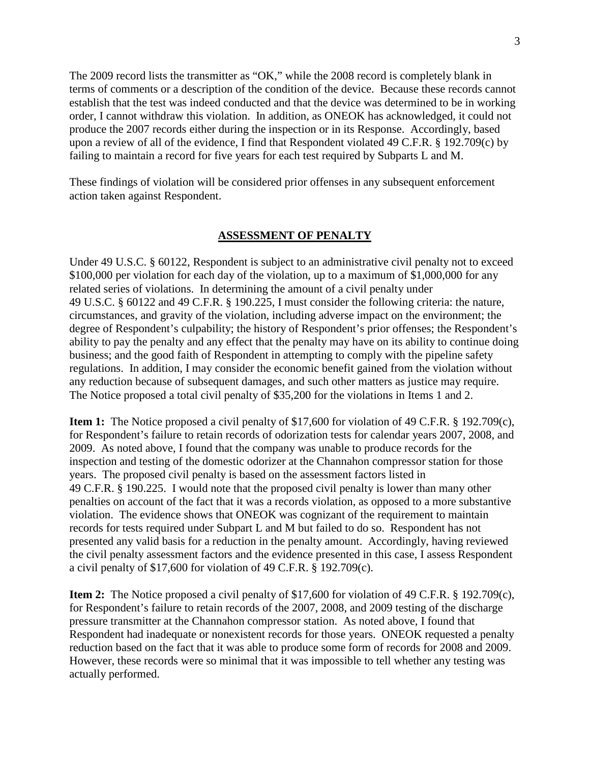The 2009 record lists the transmitter as "OK," while the 2008 record is completely blank in terms of comments or a description of the condition of the device. Because these records cannot establish that the test was indeed conducted and that the device was determined to be in working order, I cannot withdraw this violation. In addition, as ONEOK has acknowledged, it could not produce the 2007 records either during the inspection or in its Response. Accordingly, based upon a review of all of the evidence, I find that Respondent violated 49 C.F.R. § 192.709(c) by failing to maintain a record for five years for each test required by Subparts L and M.

These findings of violation will be considered prior offenses in any subsequent enforcement action taken against Respondent.

#### **ASSESSMENT OF PENALTY**

Under 49 U.S.C. § 60122, Respondent is subject to an administrative civil penalty not to exceed \$100,000 per violation for each day of the violation, up to a maximum of \$1,000,000 for any related series of violations. In determining the amount of a civil penalty under 49 U.S.C. § 60122 and 49 C.F.R. § 190.225, I must consider the following criteria: the nature, circumstances, and gravity of the violation, including adverse impact on the environment; the degree of Respondent's culpability; the history of Respondent's prior offenses; the Respondent's ability to pay the penalty and any effect that the penalty may have on its ability to continue doing business; and the good faith of Respondent in attempting to comply with the pipeline safety regulations. In addition, I may consider the economic benefit gained from the violation without any reduction because of subsequent damages, and such other matters as justice may require. The Notice proposed a total civil penalty of \$35,200 for the violations in Items 1 and 2.

**Item 1:** The Notice proposed a civil penalty of \$17,600 for violation of 49 C.F.R. § 192.709(c), for Respondent's failure to retain records of odorization tests for calendar years 2007, 2008, and 2009. As noted above, I found that the company was unable to produce records for the inspection and testing of the domestic odorizer at the Channahon compressor station for those years. The proposed civil penalty is based on the assessment factors listed in 49 C.F.R. § 190.225. I would note that the proposed civil penalty is lower than many other penalties on account of the fact that it was a records violation, as opposed to a more substantive violation. The evidence shows that ONEOK was cognizant of the requirement to maintain records for tests required under Subpart L and M but failed to do so. Respondent has not presented any valid basis for a reduction in the penalty amount. Accordingly, having reviewed the civil penalty assessment factors and the evidence presented in this case, I assess Respondent a civil penalty of \$17,600 for violation of 49 C.F.R. § 192.709(c).

**Item 2:** The Notice proposed a civil penalty of \$17,600 for violation of 49 C.F.R. § 192.709(c), for Respondent's failure to retain records of the 2007, 2008, and 2009 testing of the discharge pressure transmitter at the Channahon compressor station. As noted above, I found that Respondent had inadequate or nonexistent records for those years. ONEOK requested a penalty reduction based on the fact that it was able to produce some form of records for 2008 and 2009. However, these records were so minimal that it was impossible to tell whether any testing was actually performed.